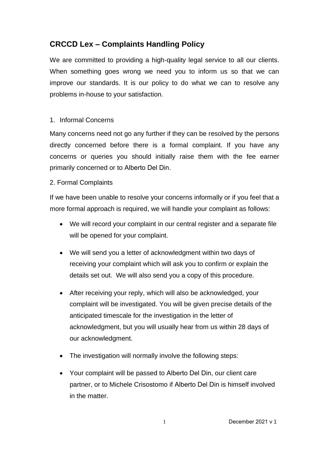## **CRCCD Lex – Complaints Handling Policy**

We are committed to providing a high-quality legal service to all our clients. When something goes wrong we need you to inform us so that we can improve our standards. It is our policy to do what we can to resolve any problems in-house to your satisfaction.

## 1. Informal Concerns

Many concerns need not go any further if they can be resolved by the persons directly concerned before there is a formal complaint. If you have any concerns or queries you should initially raise them with the fee earner primarily concerned or to Alberto Del Din.

## 2. Formal Complaints

If we have been unable to resolve your concerns informally or if you feel that a more formal approach is required, we will handle your complaint as follows:

- We will record your complaint in our central register and a separate file will be opened for your complaint.
- We will send you a letter of acknowledgment within two days of receiving your complaint which will ask you to confirm or explain the details set out. We will also send you a copy of this procedure.
- After receiving your reply, which will also be acknowledged, your complaint will be investigated. You will be given precise details of the anticipated timescale for the investigation in the letter of acknowledgment, but you will usually hear from us within 28 days of our acknowledgment.
- The investigation will normally involve the following steps:
- Your complaint will be passed to Alberto Del Din, our client care partner, or to Michele Crisostomo if Alberto Del Din is himself involved in the matter.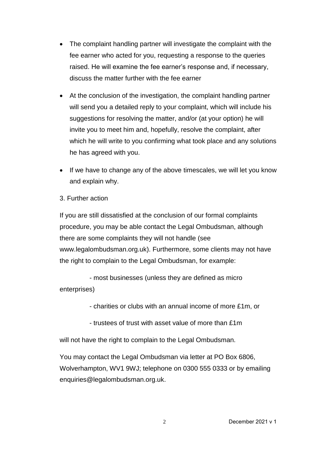- The complaint handling partner will investigate the complaint with the fee earner who acted for you, requesting a response to the queries raised. He will examine the fee earner's response and, if necessary, discuss the matter further with the fee earner
- At the conclusion of the investigation, the complaint handling partner will send you a detailed reply to your complaint, which will include his suggestions for resolving the matter, and/or (at your option) he will invite you to meet him and, hopefully, resolve the complaint, after which he will write to you confirming what took place and any solutions he has agreed with you.
- If we have to change any of the above timescales, we will let you know and explain why.
- 3. Further action

If you are still dissatisfied at the conclusion of our formal complaints procedure, you may be able contact the Legal Ombudsman, although there are some complaints they will not handle (see [www.legalombudsman.org.uk\)](http://www.legalombudsman.org.uk/). Furthermore, some clients may not have the right to complain to the Legal Ombudsman, for example:

- most businesses (unless they are defined as micro enterprises)

- charities or clubs with an annual income of more £1m, or
- trustees of trust with asset value of more than £1m

will not have the right to complain to the Legal Ombudsman.

You may contact the Legal Ombudsman via letter at PO Box 6806, Wolverhampton, WV1 9WJ; telephone on 0300 555 0333 or by emailing [enquiries@legalombudsman.org.uk.](mailto:enquiries@legalombudsman.org.uk)